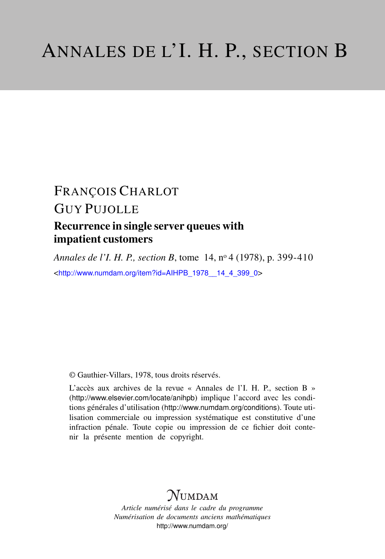## FRANÇOIS CHARLOT

# GUY PUJOLLE

## Recurrence in single server queues with impatient customers

*Annales de l'I. H. P., section B*, tome 14, n<sup>o</sup> 4 (1978), p. 399-410 <[http://www.numdam.org/item?id=AIHPB\\_1978\\_\\_14\\_4\\_399\\_0](http://www.numdam.org/item?id=AIHPB_1978__14_4_399_0)>

© Gauthier-Villars, 1978, tous droits réservés.

L'accès aux archives de la revue « Annales de l'I. H. P., section B » (<http://www.elsevier.com/locate/anihpb>) implique l'accord avec les conditions générales d'utilisation (<http://www.numdam.org/conditions>). Toute utilisation commerciale ou impression systématique est constitutive d'une infraction pénale. Toute copie ou impression de ce fichier doit contenir la présente mention de copyright.

# $N$ UMDAM

*Article numérisé dans le cadre du programme Numérisation de documents anciens mathématiques* <http://www.numdam.org/>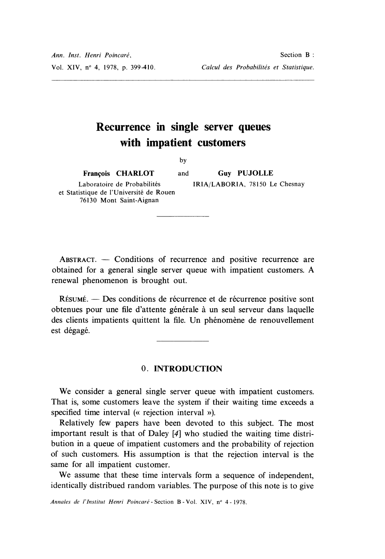## Recurrence in single server queues with impatient customers

by

François CHARLOT and

Laboratoire de Probabilités et Statistique de l'Université de Rouen 76130 Mont Saint-Aignan

Guy PUJOLLE IRIA/LABORIA, 78150 Le Chesnay

 $ABSTRACT. - Conditions of recurrence and positive recurrence are$ obtained for a general single server queue with impatient customers. A renewal phenomenon is brought out.

RÉSUMÉ. — Des conditions de récurrence et de récurrence positive sont obtenues pour une file d'attente générale à un seul serveur dans laquelle des clients impatients quittent la file. Un phénomène de renouvellement est dégagé.

## 0. INTRODUCTION

We consider a general single server queue with impatient customers. That is, some customers leave the system if their waiting time exceeds a specified time interval (« rejection interval »).

Relatively few papers have been devoted to this subject. The most important result is that of Daley [4] who studied the waiting time distribution in a queue of impatient customers and the probability of rejection of such customers. His assumption is that the rejection interval is the same for all impatient customer.

We assume that these time intervals form a sequence of independent, identically distribued random variables. The purpose of this note is to give

Annales de l'Institut Henri Poincaré - Section B - Vol. XIV, n° 4 - 1978.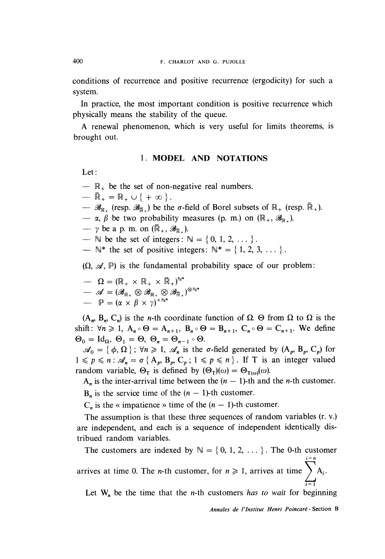conditions of recurrence and positive recurrence (ergodicity) for such a system.

In practice, the most important condition is positive recurrence which physically means the stability of the queue.

A renewal phenomenon, which is very useful for limits theorems, is brought out.

### 1. MODEL AND NOTATIONS

Let :

- $\mathbb{R}_+$  be the set of non-negative real numbers.
- 
- $-\overline{\mathbb{R}}_+ = \mathbb{R}_+ \cup \{ +\infty \}.$ <br>  $-\mathscr{B}_{\mathbb{R}_+}$  (resp.  $\mathscr{B}_{\overline{\mathbb{R}}_-}$ ) be the  $\sigma$ -field of Borel subsets of  $\mathbb{R}_+$  (resp.  $\overline{\mathbb{R}}_+$ ).
- $-\alpha$ ,  $\beta$  be two probability measures (p. m.) on  $(\mathbb{R}_+, \mathscr{B}_{\mathbb{R}_+})$ .

 $-\gamma$  be a p. m. on  $(\overline{\mathbb{R}}_+, \mathscr{B}_{\overline{\mathbb{R}}} )$ .

-  $\mathbb N$  be the set of integers :  $\mathbb N = \{0, 1, 2, \dots\}$ .<br>-  $\mathbb N^*$  the set of positive integers :  $\mathbb N^* = \{1, 2, 3, \dots\}$ .

 $(\Omega, \mathcal{A}, \mathbb{P})$  is the fundamental probability space of our problem:

 $\Omega = (\mathbb{R}_+ \times \mathbb{R}_+ \times \mathbb{R}_+)^{\mathbb{N}^*}$  $\begin{array}{lll} \mathcal{A}=(\mathcal{B}_{\mathbb{R}_+}\otimes\mathcal{B}_{\mathbb{R}_+}\otimes\mathcal{B}_{\mathbb{R}_+})^{\otimes\mathbb{N}^*}\ \cdots&\mathbb{P}=(\alpha\times\beta\times\gamma)^{\times\mathbb{N}^*} \end{array}$ 

 $(A_n, B_n, C_n)$  is the *n*-th coordinate function of  $\Omega$ .  $\Theta$  from  $\Omega$  to  $\Omega$  is the shift:  $\forall n \geq 1$ ,  $A_n \circ \Theta = A_{n+1}$ ,  $B_n \circ \Theta = B_{n+1}$ ,  $C_n \circ \Theta = C_{n+1}$ . We define  $\Theta_0 = \text{Id}_{\Omega}, \ \Theta_1 = \Theta, \ \Theta_n = \Theta_{n-1} \circ \Theta.$ 

 $\mathscr{A}_0 = {\phi, \Omega}$ ;  $\forall n \geq 1$ ,  $\mathscr{A}_n$  is the  $\sigma$ -field generated by  $(A_p, B_p, C_p)$  for  $1 \leq p \leq n$ :  $\mathscr{A}_n = \sigma \{ A_p, B_p, C_p ; 1 \leq p \leq n \}$ . If T is an integer valued random variable,  $\Theta_T$  is defined by  $(\Theta_T)(\omega) = \Theta_{T(\omega)}(\omega)$ .

 $A_n$  is the inter-arrival time between the  $(n - 1)$ -th and the *n*-th customer.

 $B_n$  is the service time of the  $(n - 1)$ -th customer.

 $C_n$  is the « impatience » time of the  $(n - 1)$ -th customer.

The assumption is that these three sequences of random variables (r. v.) are independent, and each is a sequence of independent identically distribued random variables.

The customers are indexed by  $\mathbb{N} = \{0, 1, 2, \dots\}$ . The 0-th customer i=n arrives at time 0. The *n*-th customer, for  $n \ge 1$ , arrives at time  $\sum_{i=1} A_i$ .  $i=1$ 

Let  $W_n$  be the time that the *n*-th customers has to wait for beginning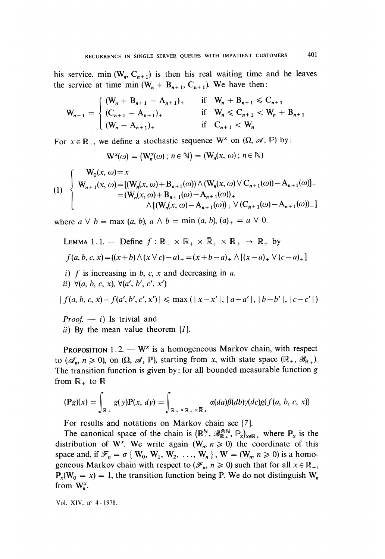his service. min  $(W_n, C_{n+1})$  is then his real waiting time and he leaves the service at time min  $(W_n + B_{n+1}, C_{n+1})$ . We have then:

$$
W_{n+1} = \begin{cases} (W_n + B_{n+1} - A_{n+1})_+ & \text{if} \quad W_n + B_{n+1} \leq C_{n+1} \\ (C_{n+1} - A_{n+1})_+ & \text{if} \quad W_n \leq C_{n+1} < W_n + B_{n+1} \\ (W_n - A_{n+1})_+ & \text{if} \quad C_{n+1} < W_n \end{cases}
$$

For  $x \in \mathbb{R}_+$ , we define a stochastic sequence W<sup>x</sup> on  $(\Omega, \mathcal{A}, \mathbb{P})$  by:

$$
\mathrm{W}^{\mathrm{x}}(\omega) = (\mathrm{W}^{\mathrm{x}}_n(\omega) \,;\, n \in \mathbb{N}) = (\mathrm{W}_n(\mathrm{x}, \, \omega) \,;\, n \in \mathbb{N})
$$

$$
(1) \begin{cases} W_0(x, \omega) = x \\ W_{n+1}(x, \omega) = [(W_n(x, \omega) + B_{n+1}(\omega)) \wedge (W_n(x, \omega) \vee C_{n+1}(\omega)) - A_{n+1}(\omega)]_+ \\ = (W_n(x, \omega) + B_{n+1}(\omega) - A_{n+1}(\omega))_+ \\ \wedge [(W_n(x, \omega) - A_{n+1}(\omega))_+ \vee (C_{n+1}(\omega) - A_{n+1}(\omega))_+ ] \end{cases}
$$

where  $a \vee b = \max(a, b), a \wedge b = \min(a, b), (a)_+ = a \vee 0$ .

LEMMA 1.1. – Define 
$$
f : \mathbb{R}_+ \times \mathbb{R}_+ \times \mathbb{R}_+ \times \mathbb{R}_+
$$
  $\rightarrow \mathbb{R}_+$  by  
\n
$$
f(a, b, c, x) = ((x + b) \land (x \lor c) - a)_+ = (x + b - a)_+ \land [(x - a)_+ \lor (c - a)_+]
$$

i) f is increasing in b, c, x and decreasing in a.

ii)  $\forall (a, b, c, x), \forall (a', b', c', x')$ 

$$
|f(a, b, c, x) - f(a', b', c', x')| \le \max (|x - x'|, |a - a'|, |b - b'|, |c - c'|)
$$

*Proof.*  $- i$ ) Is trivial and ii) By the mean value theorem  $[I]$ .

**PROPOSITION** 1.2.  $-W^x$  is a homogeneous Markov chain, with respect to  $(\mathscr{A}_{n}, n \geq 0)$ , on  $(\Omega, \mathscr{A}, \mathbb{P})$ , starting from x, with state space  $(\mathbb{R}_{+}, \mathscr{B}_{\mathbb{R}_{+}})$ . The transition function is given by: for all bounded measurable function  $g$ from  $\mathbb{R}_+$  to  $\mathbb{R}$ 

$$
(\mathbf{P}g)(x) = \int_{\mathbb{R}_+} g(y) \mathbf{P}(x, dy) = \int_{\mathbb{R}_+ \times \mathbb{R}_+ \times \overline{\mathbb{R}}_+} \alpha(da) \beta(db) \gamma(dc) g(f(a, b, c, x))
$$

For results and notations on Markov chain see [7].

The canonical space of the chain is  $(\mathbb{R}^N_+, \mathscr{B}_{\mathbb{R}_+}^{\otimes N}, \mathbb{P}_x)_{x \in \mathbb{R}_+}$  where  $\mathbb{P}_x$  is the distribution of W<sup>x</sup>. We write again (W<sub>n</sub>,  $n \ge 0$ ) the coordinate of this space and, if  $\mathcal{F}_n = \sigma \{ W_0, W_1, W_2, \ldots, W_n \}$ ,  $W = (W_n, n \ge 0)$  is a homogeneous Markov chain with respect to  $(\mathscr{F}_n, n \geq 0)$  such that for all  $x \in \mathbb{R}_+$ ,  $\mathbb{P}_x(\mathbb{W}_0 = x) = 1$ , the transition function being P. We do not distinguish  $\mathbb{W}_n$ from  $W_n^x$ .

Vol. XIV, n° 4 - 1978.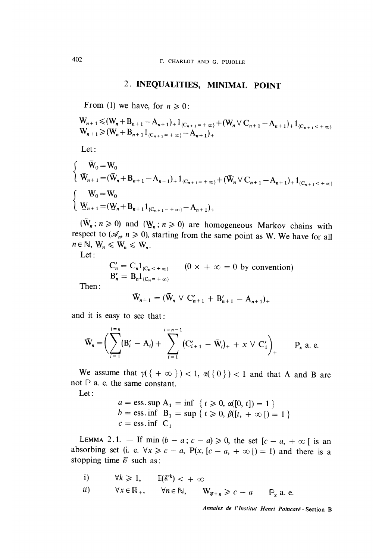## 2. INEQUALITIES, MINIMAL POINT

From (1) we have, for  $n \geq 0$ :

$$
W_{n+1} \leq (W_n + B_{n+1} - A_{n+1}) + 1_{(C_{n+1} = +\infty)} + (W_n \vee C_{n+1} - A_{n+1}) + 1_{(C_{n+1} < +\infty)}W_{n+1} \geq (W_n + B_{n+1} 1_{(C_{n+1} = +\infty)} - A_{n+1}) +
$$

Let :

 $\overline{\phantom{a}}$ 

$$
\begin{cases}\n\overline{W}_0 = W_0 \\
\overline{W}_{n+1} = (\overline{W}_n + B_{n+1} - A_{n+1})_+ 1_{\{C_{n+1} = +\infty\}} + (\overline{W}_n \vee C_{n+1} - A_{n+1})_+ 1_{\{C_{n+1} < +\infty\}} \\
\{\n\begin{aligned}\n&\underline{W}_0 = W_0 \\
\overline{W}_{n+1} = (\underline{W}_n + B_{n+1} 1_{\{C_{n+1} = +\infty\}} - A_{n+1})_+\n\end{aligned}\n\end{cases}
$$

 $(\bar{W}_n : n \ge 0)$  and  $(\underline{W}_n : n \ge 0)$  are homogeneous Markov chains with respect to  $(\mathcal{A}_n, n \ge 0)$ , starting from the same point as W. We have for all  $n \in \mathbb{N}$ ,  $W_n \le W_n \le \overline{W}_n$ .

Let :

$$
C'_n = C_n 1_{\{C_n < +\infty\}} \qquad (0 \times +\infty = 0 \text{ by convention})
$$
\n
$$
B'_n = B_n 1_{\{C_n = +\infty\}}
$$

Then:

$$
\bar{W}_{n+1} = (\bar{W}_n \vee C'_{n+1} + B'_{n+1} - A_{n+1})_+
$$

and it is easy to see that :

$$
\bar{\mathbf{W}}_n = \bigg( \sum_{i=1}^{i=n} (\mathbf{B}'_i - \mathbf{A}_i) + \sum_{i=1}^{i=n-1} (\mathbf{C}'_{i+1} - \bar{\mathbf{W}}_i)_+ + x \vee \mathbf{C}'_1 \bigg)_+ \qquad \mathbb{P}_x \text{ a. e.}
$$

We assume that  $\gamma(\{\alpha\}) < 1$ ,  $\alpha(\{0\}) < 1$  and that A and B are not  $P$  a. e. the same constant.

Let :

$$
a = \text{ess}.\text{sup } A_1 = \text{inf } \{ t \ge 0, \alpha([0, t]) = 1 \}
$$
  
\n $b = \text{ess}.\text{inf } B_1 = \text{sup } \{ t \ge 0, \beta([t, + \infty]) = 1 \}$   
\n $c = \text{ess}.\text{inf } C_1$ 

LEMMA 2.1. - If min  $(b - a; c - a) \ge 0$ , the set  $[c - a, + \infty)$  is an absorbing set (i. e.  $\forall x \geq c - a$ ,  $P(x, [c - a, + \infty]) = 1$ ) and there is a stopping time  $\mathscr E$  such as:

i) 
$$
\forall k \ge 1
$$
,  $\mathbb{E}(\mathcal{C}^k) < +\infty$   
ii)  $\forall x \in \mathbb{R}_+$ ,  $\forall n \in \mathbb{N}$ ,  $\mathbf{W}_{\mathcal{C}^+n} \ge c - a$   $\mathbb{P}_x$  a. e.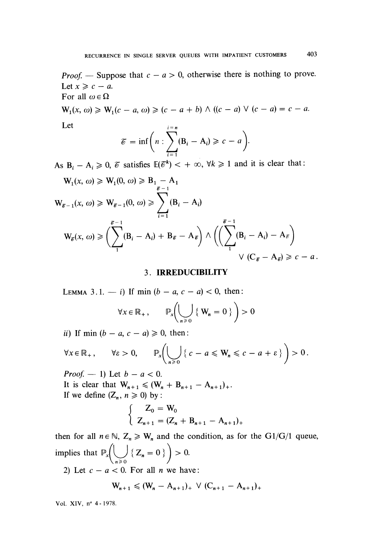*Proof.* — Suppose that  $c - a > 0$ , otherwise there is nothing to prove. Let  $x \geqslant c - a$ . For all  $\omega \in \Omega$ 

 $W_1(x, \omega) \geq W_1(c-a, \omega) \geq (c-a+b) \wedge ((c-a) \vee (c-a) = c-a.$ Let

$$
\mathcal{E} = \inf \bigg(n : \sum_{i=1}^{i=n} (\mathbf{B}_i - \mathbf{A}_i) \geqslant c - a \bigg).
$$

As  $B_i - A_i \ge 0$ ,  $\mathcal{C}$  satisfies  $\mathbb{E}(\mathcal{C}^k) < +\infty$ ,  $\forall k \ge 1$  and it is clear that:

$$
W_{1}(x, \omega) \ge W_{1}(0, \omega) \ge B_{1} - A_{1}
$$
  
\n
$$
W_{\tilde{\varepsilon}-1}(x, \omega) \ge W_{\tilde{\varepsilon}-1}(0, \omega) \ge \sum_{i=1}^{\tilde{\varepsilon}-1} (B_{i} - A_{i})
$$
  
\n
$$
W_{\tilde{\varepsilon}}(x, \omega) \ge \left(\sum_{i=1}^{\tilde{\varepsilon}-1} (B_{i} - A_{i}) + B_{\tilde{\varepsilon}} - A_{\tilde{\varepsilon}}\right) \wedge \left(\left(\sum_{i=1}^{\tilde{\varepsilon}-1} (B_{i} - A_{i}) - A_{\tilde{\varepsilon}}\right) \vee (C_{\tilde{\varepsilon}} - A_{\tilde{\varepsilon}}) \ge c - a.
$$

## 3. IRREDUCIBILITY

LEMMA 3.1. - i) If min  $(b - a, c - a) < 0$ , then:

$$
\forall x \in \mathbb{R}_+, \qquad \mathbb{P}_x \left( \bigcup_{n \geq 0} \{ \mathbf{W}_n = 0 \} \right) > 0
$$

ii) If min  $(b - a, c - a) \ge 0$ , then:

$$
\forall x \in \mathbb{R}_+, \qquad \forall \varepsilon > 0, \qquad \mathbb{P}_x \bigg( \bigcup_{n \geq 0} \left\{ c - a \leqslant W_n \leqslant c - a + \varepsilon \right\} \bigg) > 0.
$$

*Proof.*  $- 1$ ) Let  $b - a < 0$ . It is clear that  $W_{n+1} \leq (W_n + B_{n+1} - A_{n+1})_+$ . If we define  $(Z_n, n \geq 0)$  by :

$$
\begin{cases} Z_0 = W_0 \\ Z_{n+1} = (Z_n + B_{n+1} - A_{n+1})_+ \end{cases}
$$

then for all  $n \in \mathbb{N}$ ,  $Z_n \geq W_n$  and the condition, as for the G1/G/1 queue, implies that  $\mathbb{P}_x \left( \bigcup_{n \geq 0} \{ Z_n = 0 \} \right) > 0.$ 

2) Let  $c - a < 0$ . For all *n* we have:

$$
W_{n+1} \leq (W_n - A_{n+1})_+ \vee (C_{n+1} - A_{n+1})_+
$$

Vol. XIV, n° 4 - 1978.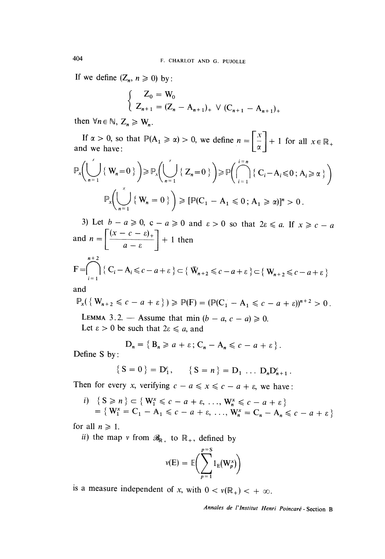If we define  $(Z_n, n \geq 0)$  by:

$$
\begin{cases} Z_0 = W_0 \\ Z_{n+1} = (Z_n - A_{n+1})_+ \vee (C_{n+1} - A_{n+1})_+ \end{cases}
$$

then  $\forall n \in \mathbb{N}, Z_n \geqslant W_n$ .

If  $\alpha > 0$ , so that  $\mathbb{P}(A_1 \ge \alpha) > 0$ , we define  $n = \left[\frac{x}{\alpha}\right] + 1$  for all  $x \in \mathbb{R}_+$  and we have:

$$
\mathbb{P}_x \Big( \bigcup_{n=1}^{\infty} \left\{ W_n = 0 \right\} \Big) \ge \mathbb{P}_x \Big( \bigcup_{n=1}^{\infty} \left\{ Z_n = 0 \right\} \Big) \ge \mathbb{P} \Big( \bigcap_{i=1}^{i=n} \left\{ C_i - A_i \le 0 \right\}, A_i \ge \alpha \Big\} \Big)
$$

$$
\mathbb{P}_x \Big( \bigcup_{n=1}^{\infty} \left\{ W_n = 0 \right\} \Big) \ge \left[ \mathbb{P} (C_1 - A_1 \le 0 \right], A_1 \ge \alpha) \right]^n > 0.
$$

3) Let  $b - a \ge 0$ ,  $c - a \ge 0$  and  $\varepsilon > 0$  so that  $2\varepsilon \le a$ . If  $x \ge c - a$ and  $n = \left\lceil \frac{(x - c - \varepsilon)_+}{a - \varepsilon} \right\rceil + 1$  then

$$
F = \bigcap_{i=1}^{n+2} \{ C_i - A_i \leqslant c - a + \varepsilon \} \subset \{ \overline{W}_{n+2} \leqslant c - a + \varepsilon \} \subset \{ W_{n+2} \leqslant c - a + \varepsilon \}
$$

and

$$
\mathbb{P}_x(\left\{W_{n+2} \leqslant c-a+\varepsilon\right\}) \geqslant \mathbb{P}(\mathrm{F}) = (\mathbb{P}(\mathrm{C}_1 - \mathrm{A}_1 \leqslant c-a+\varepsilon))^{n+2} > 0.
$$

LEMMA 3.2. - Assume that min  $(b - a, c - a) \ge 0$ .

Let  $\varepsilon > 0$  be such that  $2\varepsilon \leq a$ , and

$$
D_n = \{ B_n \geq a + \varepsilon \, ; \, C_n - A_n \leqslant c - a + \varepsilon \, \} \, .
$$

Define S by :

$$
\{ S = 0 \} = D_1^c, \qquad \{ S = n \} = D_1 \ldots D_n D_{n+1}^c.
$$

Then for every x, verifying  $c - a \le x \le c - a + \varepsilon$ , we have:

*i*) {  $S \ge n$ }  $\subset \{W_1^x \le c - a + \varepsilon, ..., W_n^x \le c - a + \varepsilon\}$ <br>  $= \{W_1^x = C_1 - A_1 \le c - a + \varepsilon, ..., W_n^x = C_n - A_n \le c - a + \varepsilon\}$ 

for all  $n \geq 1$ .

ii) the map v from  $\mathcal{R}_{\mathbb{R}_+}$  to  $\mathbb{R}_+$ , defined by

$$
\nu(E) = \mathbb{E}\bigg(\sum_{p=1}^{p=S} 1_{E}(\mathbf{W}_{p}^{x})\bigg)
$$

is a measure independent of x, with  $0 < v(\mathbb{R}_+) < +\infty$ .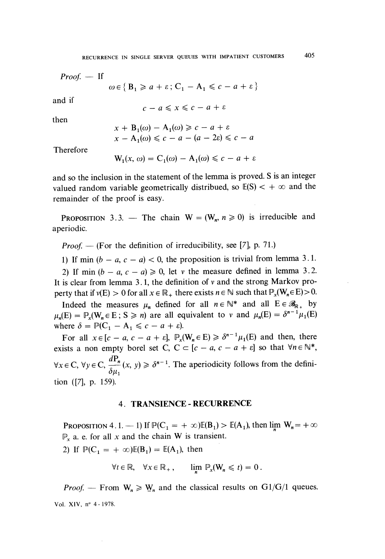$Proof. - If$ 

$$
\omega \in \{ \mathbf{B}_1 \ge a + \varepsilon \colon \mathbf{C}_1 - \mathbf{A}_1 \le c - a + \varepsilon \}
$$

and if

$$
c - a \leqslant x \leqslant c - a + \varepsilon
$$

then

$$
x + B_1(\omega) - A_1(\omega) \ge c - a + \varepsilon
$$
  

$$
x - A_1(\omega) \le c - a - (a - 2\varepsilon) \le c - a
$$

Therefore

$$
W_1(x, \omega) = C_1(\omega) - A_1(\omega) \leq c - a + \varepsilon
$$

and so the inclusion in the statement of the lemma is proved. S is an integer valued random variable geometrically distribued, so  $E(S) < +\infty$  and the remainder of the proof is easy.

PROPOSITION 3.3. - The chain  $W = (W_n, n \ge 0)$  is irreducible and aperiodic.

*Proof.* — (For the definition of irreducibility, see [7], p. 71.)

1) If min  $(b - a, c - a) < 0$ , the proposition is trivial from lemma 3.1.

2) If min  $(b - a, c - a) \ge 0$ , let v the measure defined in lemma 3.2. It is clear from lemma 3.1, the definition of  $v$  and the strong Markov property that if  $v(E) > 0$  for all  $x \in \mathbb{R}_+$  there exists  $n \in \mathbb{N}$  such that  $\mathbb{P}_x(W_n \in E) > 0$ .

Indeed the measures  $\mu_n$  defined for all  $n \in \mathbb{N}^*$  and all  $E \in \mathcal{B}_{\mathbb{R}^+}$  by  $\mu_n(E) = \mathbb{P}_x(W_n \in E; S \ge n)$  are all equivalent to v and  $\mu_n(E) = \delta^{n-1} \mu_1(E)$ where  $\delta = \mathbb{P}(\mathbb{C}_1 - \mathbb{A}_1 \leq c - a + \varepsilon).$ 

For all  $x \in [c - a, c - a + \varepsilon]$ ,  $\mathbb{P}_x(W_n \in E) \geq \delta^{n-1} \mu_1(E)$  and then, there exists a non empty borel set C,  $C \subset [c - a, c - a + \varepsilon]$  so that  $\forall n \in \mathbb{N}^*$ ,  $\forall x \in \mathbb{C}, \forall y \in \mathbb{C}, \frac{dP_n}{\delta u_n}(x, y) \geq \delta^{n-1}$ . The aperiodicity follows from the definition ([7], p. 159).

### 4. TRANSIENCE - RECURRENCE

PROPOSITION 4.1. -1) If  $\mathbb{P}(C_1 = +\infty)\mathbb{E}(B_1) > \mathbb{E}(A_1)$ , then lim  $W_n = +\infty$  $\mathbb{P}_x$  a. e. for all x and the chain W is transient.

2) If  $\mathbb{P}(C_1 = +\infty)\mathbb{E}(B_1) = \mathbb{E}(A_1)$ , then

$$
\forall t \in \mathbb{R}, \quad \forall x \in \mathbb{R}_+, \qquad \lim_{h \to \infty} \mathbb{P}_x(\mathbf{W}_n \leq t) = 0 \, .
$$

*Proof.* – From  $W_n \ge W_n$  and the classical results on G1/G/1 queues. Vol. XIV, n° 4-1978.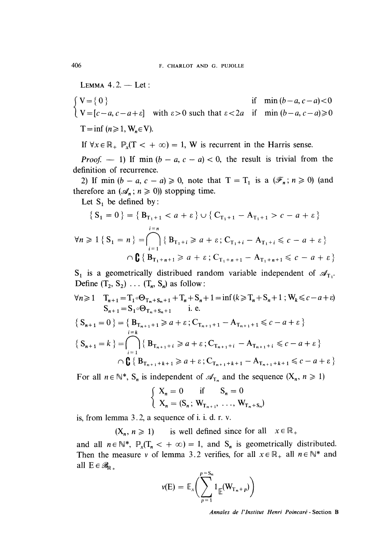LEMMA 4.2. - Let:

$$
\begin{cases}\nV = \{0\} & \text{if } \min(b-a, c-a) < 0 \\
V = [c-a, c-a+\varepsilon] & \text{with } \varepsilon > 0 \text{ such that } \varepsilon < 2a \text{ if } \min(b-a, c-a) \ge 0\n\end{cases}
$$
\n
$$
T = \inf (n \ge 1, W_n \in V).
$$

If  $\forall x \in \mathbb{R}_+$   $\mathbb{P}_x(T < + \infty) = 1$ , W is recurrent in the Harris sense.

*Proof.*  $-1$ ) If min  $(b - a, c - a) < 0$ , the result is trivial from the definition of recurrence.

2) If min  $(b - a, c - a) \ge 0$ , note that  $T = T_1$  is a  $(\mathscr{F}_n; n \ge 0)$  (and therefore an  $({\mathcal{A}}_n; n \geq 0)$  stopping time.

Let  $S_1$  be defined by:

$$
\{S_{1} = 0\} = \{B_{T_{1}+1} < a + \varepsilon\} \cup \{C_{T_{1}+1} - A_{T_{1}+1} > c - a + \varepsilon\}
$$
  

$$
\forall n \ge 1 \{S_{1} = n\} = \bigcap_{i=1}^{i=n} \{B_{T_{1}+i} \ge a + \varepsilon; C_{T_{1}+i} - A_{T_{1}+i} \le c - a + \varepsilon\}
$$
  

$$
\cap \mathbf{G} \{B_{T_{1}+n+1} \ge a + \varepsilon; C_{T_{1}+n+1} - A_{T_{1}+n+1} \le c - a + \varepsilon\}
$$

 $S_1$  is a geometrically distribued random variable independent of  $\mathscr{A}_{T_1}$ . Define  $(T_2, S_2) \ldots (T_n, S_n)$  as follow:

$$
\forall n \ge 1 \quad T_{n+1} = T_1 \circ \Theta_{T_n + S_n + 1} + T_n + S_n + 1 = \inf (k \ge T_n + S_n + 1 ; W_k \le c - a + \varepsilon)
$$
  
\n
$$
S_{n+1} = S_1 \circ \Theta_{T_n + S_n + 1} \quad \text{i. e.}
$$
  
\n
$$
\{ S_{n+1} = 0 \} = \{ B_{T_{n+1} + 1} \ge a + \varepsilon ; C_{T_{n+1} + 1} - A_{T_{n+1} + 1} \le c - a + \varepsilon \}
$$

$$
\{S_{n+1} = k\} = \bigcap_{i=1}^{i-k} \{B_{T_{n+1}+i} \ge a + \varepsilon \, ; C_{T_{n+1}+i} - A_{T_{n+1}+i} \le c - a + \varepsilon\}
$$
  

$$
\bigcap_{i=1}^{i-k} \{B_{T_{n+1}+k+1} \ge a + \varepsilon \, ; C_{T_{n+1}+k+1} - A_{T_{n+1}+k+1} \le c - a + \varepsilon\}
$$

For all  $n \in \mathbb{N}^*$ ,  $S_n$  is independent of  $\mathcal{A}_{T_n}$  and the sequence  $(X_n, n \ge 1)$ 

$$
\begin{cases} X_n = 0 & \text{if } S_n = 0\\ X_n = (S_n; W_{T_{n+1}}, \dots, W_{T_n + S_n}) \end{cases}
$$

is, from lemma 3.2, a sequence of i. i. d. r. v.

 $(X_n, n \ge 1)$  is well defined since for all  $x \in \mathbb{R}_+$ 

and all  $n \in \mathbb{N}^*$ ,  $\mathbb{P}_x(T_n < +\infty) = 1$ , and  $S_n$  is geometrically distributed. Then the measure v of lemma 3.2 verifies, for all  $x \in \mathbb{R}_+$  all  $n \in \mathbb{N}^*$  and all  $E \in \mathcal{B}_{\mathbb{R}}$ .

$$
v(E) = \mathbb{E}_x \bigg( \sum_{p=1}^{p=S_n} 1_{\mathbb{E}} (\mathbf{W}_{\mathrm{T}_n+p}) \bigg)
$$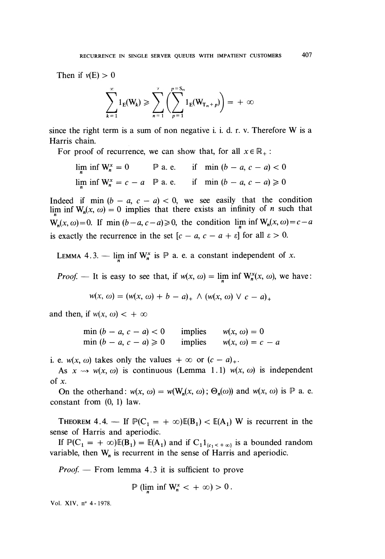Then if  $v(E) > 0$ 

$$
\sum_{k=1}^{\infty} 1_{E}(W_k) \geqslant \sum_{n=1}^{\infty} \left( \sum_{p=1}^{p=S_n} 1_{E}(W_{T_n+p}) \right) = +\infty
$$

since the right term is a sum of non negative i. i. d. r. v. Therefore W is a Harris chain.

For proof of recurrence, we can show that, for all  $x \in \mathbb{R}_+$ :

 $\lim_{n}$  inf W<sub>n</sub><sup>x</sup> = 0  $\qquad$  P a. e. if min (b - a, c - a) < 0 lim inf  $W_n^x = c - a$   $\mathbb P$  a. e. if min  $(b - a, c - a) \ge 0$ 

Indeed if min  $(b - a, c - a) < 0$ , we see easily that the condition lim inf  $W_n(x, \omega) = 0$  implies that there exists an infinity of *n* such that  $W_n(x, \omega) = 0$ . If min  $(b - a, c - a) \ge 0$ , the condition lim inf  $W_n(x, \omega) = c - a$ is exactly the recurrence in the set  $[c - a, c - a + \varepsilon]$  for all  $\varepsilon > 0$ .

LEMMA 4.3. - lim inf  $W_n^x$  is  $P$  a. e. a constant independent of x.

*Proof.* – It is easy to see that, if  $w(x, \omega) = \lim_{n \to \infty} \inf W_n^{\lambda}(x, \omega)$ , we have:

$$
w(x, \omega) = (w(x, \omega) + b - a)_+ \wedge (w(x, \omega) \vee c - a)_+
$$

and then, if  $w(x, \omega) < +\infty$ 

min  $(b - a, c - a) < 0$  implies  $w(x, \omega) = 0$ <br>min  $(b - a, c - a) \ge 0$  implies  $w(x, \omega) = c - a$ 

i. e.  $w(x, \omega)$  takes only the values  $+\infty$  or  $(c - a)_{+}$ .

As  $x \rightsquigarrow w(x, \omega)$  is continuous (Lemma 1.1)  $w(x, \omega)$  is independent of  $x$ .

On the otherhand:  $w(x, \omega) = w(W_n(x, \omega); \Theta_n(\omega))$  and  $w(x, \omega)$  is  $\mathbb P$  a. e. constant from (0, 1) law.

THEOREM 4.4. - If  $\mathbb{P}(C_1 = +\infty)\mathbb{E}(B_1) < \mathbb{E}(A_1)$  W is recurrent in the sense of Harris and aperiodic.

If  $\mathbb{P}(C_1 = +\infty)\mathbb{E}(B_1) = \mathbb{E}(A_1)$  and if  $C_1 1_{\{c_1 < +\infty\}}$  is a bounded random variable, then  $W_n$  is recurrent in the sense of Harris and aperiodic.

*Proof.*  $-$  From lemma 4.3 it is sufficient to prove

$$
\mathbb{P} \left( \lim_{n} \inf W_{n}^{x} < + \infty \right) > 0.
$$

Vol. XIV, n° 4 - 1978.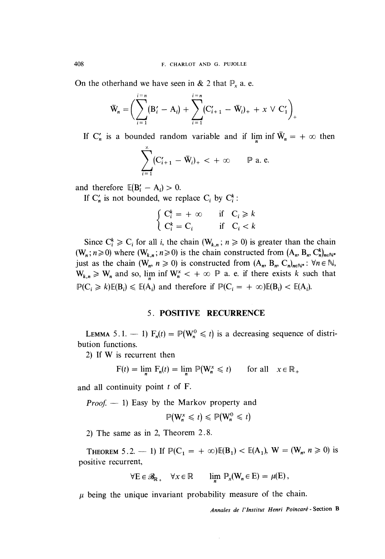On the otherhand we have seen in & 2 that  $\mathbb{P}_x$  a. e.

$$
\bar{\mathbf{W}}_n = \bigg( \sum_{i=1}^{i=n} (\mathbf{B}'_i - \mathbf{A}_i) + \sum_{i=1}^{i=n} (\mathbf{C}'_{i+1} - \bar{\mathbf{W}}_i)_+ + x \ \vee \ \mathbf{C}'_1 \bigg)_+
$$

If C<sub>n</sub> is a bounded random variable and if lim inf  $\overline{W}_n = +\infty$  then

$$
\sum_{i=1}^{\infty} (C'_{i+1} - \bar{W}_i)_+ < +\infty \qquad \mathbb{P} \text{ a. e.}
$$

and therefore  $\mathbb{E}(\mathbf{B}'_i - \mathbf{A}_i) > 0$ .

If  $C'_n$  is not bounded, we replace  $C_i$  by  $C_i^k$ :

$$
\begin{cases}\nC_i^k = +\infty & \text{if } C_i \ge k \\
C_i^k = C_i & \text{if } C_i < k\n\end{cases}
$$

Since  $C_i^k \geq C_i$  for all *i*, the chain  $(W_{k,n}; n \geq 0)$  is greater than the chain  $(W_n; n \ge 0)$  where  $(W_{k,n}; n \ge 0)$  is the chain constructed from  $(A_n, B_n, C_n^k)_{n \in \mathbb{N}^*}$ just as the chain  $(W_n, n \ge 0)$  is constructed from  $(A_n, B_n, C_n)_{n \in \mathbb{N}}$ .  $\forall n \in \mathbb{N}$ ,  $W_{k,n} \geq W_n$  and so, lim inf  $W_n^* < +\infty$   $\mathbb P$  a. e. if there exists k such that  $\mathbb{P}(C_i \ge k)\mathbb{E}(B_i) \le \mathbb{E}(A_i)$  and therefore if  $\mathbb{P}(C_i = +\infty)\mathbb{E}(B_i) < \mathbb{E}(A_i)$ .

### 5. POSITIVE RECURRENCE

LEMMA 5.1. - 1)  $F_n(t) = \mathbb{P}(W_n^0 \leq t)$  is a decreasing sequence of distribution functions.

2) If W is recurrent then

$$
F(t) = \lim_{n} F_n(t) = \lim_{n} \mathbb{P}(W_n^x \leq t) \quad \text{for all} \quad x \in \mathbb{R}_+
$$

and all continuity point  $t$  of  $F$ .

*Proof.*  $- 1$ ) Easy by the Markov property and

$$
\mathbb{P}(\mathbf{W}_n^{\mathbf{x}} \leq t) \leq \mathbb{P}(\mathbf{W}_n^0 \leq t)
$$

2) The same as in 2, Theorem 2.8.

THEOREM 5.2. - 1) If  $\mathbb{P}(C_1 = +\infty)\mathbb{E}(B_1) < \mathbb{E}(A_1)$ ,  $W = (W_n, n \ge 0)$  is positive recurrent,

$$
\forall E \in \mathscr{B}_{\mathbb{R}_+} \quad \forall x \in \mathbb{R} \qquad \lim_{n} \mathbb{P}_x(W_n \in E) = \mu(E),
$$

 $\mu$  being the unique invariant probability measure of the chain.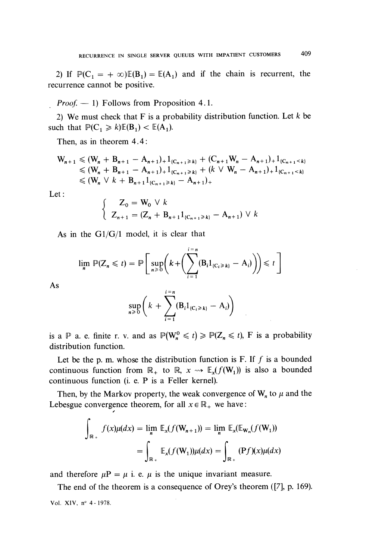2) If  $\mathbb{P}(C_1 = +\infty)\mathbb{E}(B_1) = \mathbb{E}(A_1)$  and if the chain is recurrent, the recurrence cannot be positive.

 $Proof. - 1$ ) Follows from Proposition 4.1.

2) We must check that  $F$  is a probability distribution function. Let  $k$  be such that  $\mathbb{P}(C_1 \ge k)\mathbb{E}(B_1) < \mathbb{E}(A_1)$ .

Then, as in theorem 4.4:

$$
W_{n+1} \leq (W_n + B_{n+1} - A_{n+1}) + 1_{(C_{n+1} \geq k)} + (C_{n+1}W_n - A_{n+1}) + 1_{(C_{n+1} < k)}
$$
  
\n
$$
\leq (W_n + B_{n+1} - A_{n+1}) + 1_{(C_{n+1} \geq k)} + (k \vee W_n - A_{n+1}) + 1_{(C_{n+1} < k)}
$$
  
\n
$$
\leq (W_n \vee k + B_{n+1} 1_{(C_{n+1} \geq k)} - A_{n+1}) +
$$

Let :

$$
\begin{cases} Z_0 = W_0 \vee k \\ Z_{n+1} = (Z_n + B_{n+1} 1_{\{C_{n+1} \ge k\}} - A_{n+1}) \vee k \end{cases}
$$

As in the  $G1/G/1$  model, it is clear that

$$
\lim_{n} \mathbb{P}(Z_n \leq t) = \mathbb{P}\bigg[\sup_{n\geq 0} \bigg(k + \bigg(\sum_{i=1}^{i=n} (B_i 1_{\{C_i \geq k\}} - A_i)\bigg)\bigg) \leq t\bigg]
$$

As

$$
\sup_{n\geq 0}\bigg(k+\sum_{i=1}^{i=n}(B_i1_{\{C_i\geq k\}}-A_i)\bigg)
$$

is a  $\mathbb P$  a. e. finite r. v. and as  $\mathbb P(W_n^0 \leq t) \geq \mathbb P(Z_n \leq t)$ , F is a probability distribution function.

Let be the p. m. whose the distribution function is F. If  $f$  is a bounded continuous function from  $\mathbb{R}_+$  to  $\mathbb{R}, x \rightarrow \mathbb{E}_x(f(W_1))$  is also a bounded continuous function (i. e. P is a Feller kernel).

Then, by the Markov property, the weak convergence of  $W_n$  to  $\mu$  and the Lebesgue convergence theorem, for all  $x \in \mathbb{R}_+$  we have:

$$
\int_{\mathbb{R}_+} f(x)\mu(dx) = \lim_{n} \mathbb{E}_x(f(\mathbf{W}_{n+1})) = \lim_{n} \mathbb{E}_x(\mathbb{E}_{\mathbf{W}_n}(f(\mathbf{W}_1)))
$$

$$
= \int_{\mathbb{R}_+} \mathbb{E}_x(f(\mathbf{W}_1))\mu(dx) = \int_{\mathbb{R}_+} (Pf)(x)\mu(dx)
$$

and therefore  $\mu P = \mu$  i. e.  $\mu$  is the unique invariant measure.

The end of the theorem is a consequence of Orey's theorem ([7], p. 169). Vol. XIV, n° 4 - 1978.